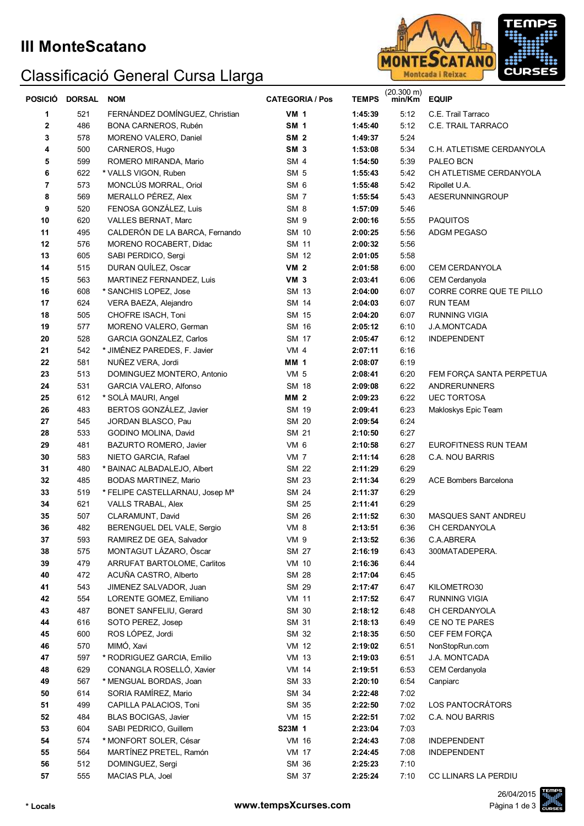## Classificació General Cursa Llarga



| <b>POSICIO</b>          | <b>DORSAL</b> | <b>NOM</b>                                      | <b>CATEGORIA / Pos</b> | <b>TEMPS</b>       | $(20.300 \text{ m})$<br>min/Km | <b>EQUIP</b>                       |
|-------------------------|---------------|-------------------------------------------------|------------------------|--------------------|--------------------------------|------------------------------------|
| 1                       | 521           | FERNÁNDEZ DOMÍNGUEZ, Christian                  | <b>VM 1</b>            | 1:45:39            | 5:12                           | C.E. Trail Tarraco                 |
| 2                       | 486           | BONA CARNEROS, Rubén                            | SM <sub>1</sub>        | 1:45:40            | 5:12                           | C.E. TRAIL TARRACO                 |
| 3                       | 578           | MORENO VALERO, Daniel                           | SM <sub>2</sub>        | 1:49:37            | 5:24                           |                                    |
| 4                       | 500           | CARNEROS, Hugo                                  | SM <sub>3</sub>        | 1:53:08            | 5:34                           | C.H. ATLETISME CERDANYOLA          |
| 5                       | 599           | ROMERO MIRANDA, Mario                           | SM <sub>4</sub>        | 1:54:50            | 5:39                           | PALEO BCN                          |
| 6                       | 622           | * VALLS VIGON, Ruben                            | SM <sub>5</sub>        | 1:55:43            | 5:42                           | CH ATLETISME CERDANYOLA            |
| $\overline{\mathbf{r}}$ | 573           | MONCLÚS MORRAL, Oriol                           | SM <sub>6</sub>        | 1:55:48            | 5:42                           | Ripollet U.A.                      |
| 8                       | 569           | MERALLO PÉREZ, Alex                             | SM <sub>7</sub>        | 1:55:54            | 5:43                           | AESERUNNINGROUP                    |
| 9                       | 520           | FENOSA GONZÁLEZ, Luis                           | SM <sub>8</sub>        | 1:57:09            | 5:46                           |                                    |
| 10                      | 620           | VALLES BERNAT, Marc                             | SM <sub>9</sub>        | 2:00:16            | 5:55                           | <b>PAQUITOS</b>                    |
| 11                      | 495           | CALDERÓN DE LA BARCA, Fernando                  | SM 10                  | 2:00:25            | 5:56                           | ADGM PEGASO                        |
| 12                      | 576           | MORENO ROCABERT, Didac                          | SM 11                  | 2:00:32            | 5:56                           |                                    |
| 13                      | 605           | SABI PERDICO, Sergi                             | SM 12                  | 2:01:05            | 5:58                           |                                    |
| 14                      | 515           | DURAN QUÍLEZ, Oscar                             | <b>VM 2</b>            | 2:01:58            | 6:00                           | <b>CEM CERDANYOLA</b>              |
| 15                      | 563           | MARTINEZ FERNANDEZ, Luis                        | VM <sub>3</sub>        | 2:03:41            | 6:06                           | CEM Cerdanyola                     |
| 16                      | 608           | * SANCHIS LOPEZ, Jose                           | SM 13                  | 2:04:00            | 6:07                           | CORRE CORRE QUE TE PILLO           |
| 17                      | 624           | VERA BAEZA, Alejandro<br>CHOFRE ISACH, Toni     | SM 14                  | 2:04:03            | 6:07                           | <b>RUN TEAM</b>                    |
| 18                      | 505           | MORENO VALERO, German                           | SM 15                  | 2:04:20            | 6:07                           | <b>RUNNING VIGIA</b>               |
| 19<br>20                | 577<br>528    | GARCIA GONZALEZ, Carlos                         | SM 16<br>SM 17         | 2:05:12<br>2:05:47 | 6:10<br>6:12                   | J.A.MONTCADA<br><b>INDEPENDENT</b> |
| 21                      | 542           | * JIMÉNEZ PAREDES, F. Javier                    | VM <sub>4</sub>        | 2:07:11            | 6:16                           |                                    |
| 22                      | 581           | NUÑEZ VERA, Jordi                               | <b>MM 1</b>            | 2:08:07            | 6:19                           |                                    |
| 23                      | 513           | DOMINGUEZ MONTERO, Antonio                      | <b>VM 5</b>            | 2:08:41            | 6:20                           | FEM FORÇA SANTA PERPETUA           |
| 24                      | 531           | GARCIA VALERO, Alfonso                          | SM 18                  | 2:09:08            | 6:22                           | ANDRERUNNERS                       |
| 25                      | 612           | * SOLÀ MAURI, Angel                             | <b>MM 2</b>            | 2:09:23            | 6:22                           | <b>UEC TORTOSA</b>                 |
| 26                      | 483           | BERTOS GONZÁLEZ, Javier                         | SM 19                  | 2:09:41            | 6:23                           | Makloskys Epic Team                |
| 27                      | 545           | JORDAN BLASCO, Pau                              | SM 20                  | 2:09:54            | 6:24                           |                                    |
| 28                      | 533           | GODINO MOLINA, David                            | <b>SM 21</b>           | 2:10:50            | 6:27                           |                                    |
| 29                      | 481           | BAZURTO ROMERO, Javier                          | VM 6                   | 2:10:58            | 6:27                           | EUROFITNESS RUN TEAM               |
| 30                      | 583           | NIETO GARCIA, Rafael                            | VM <sub>7</sub>        | 2:11:14            | 6:28                           | C.A. NOU BARRIS                    |
| 31                      | 480           | * BAINAC ALBADALEJO, Albert                     | SM 22                  | 2:11:29            | 6:29                           |                                    |
| 32                      | 485           | <b>BODAS MARTINEZ, Mario</b>                    | SM 23                  | 2:11:34            | 6:29                           | <b>ACE Bombers Barcelona</b>       |
| 33                      | 519           | * FELIPE CASTELLARNAU, Josep Ma                 | SM 24                  | 2:11:37            | 6:29                           |                                    |
| 34                      | 621           | VALLS TRABAL, Alex                              | SM 25                  | 2:11:41            | 6:29                           |                                    |
| 35                      | 507           | CLARAMUNT, David                                | SM 26                  | 2:11:52            | 6:30                           | MASQUES SANT ANDREU                |
| 36                      | 482           | BERENGUEL DEL VALE, Sergio                      | VM 8                   | 2:13:51            | 6:36                           | CH CERDANYOLA                      |
| 37                      | 593           | RAMIREZ DE GEA, Salvador                        | VM 9                   | 2:13:52            | 6:36                           | C.A.ABRERA                         |
| ${\bf 38}$              | 575           | MONTAGUT LÁZARO, Òscar                          | SM 27                  | 2:16:19            | 6:43                           | 300MATADEPERA.                     |
| 39                      | 479           | ARRUFAT BARTOLOME, Carlitos                     | <b>VM 10</b>           | 2:16:36            | 6:44                           |                                    |
| 40                      | 472           | ACUÑA CASTRO, Alberto                           | SM 28                  | 2:17:04            | 6:45                           |                                    |
| 41                      | 543           | JIMENEZ SALVADOR, Juan                          | SM 29                  | 2:17:47            | 6:47                           | KILOMETRO30                        |
| 42                      | 554           | LORENTE GOMEZ, Emiliano                         | <b>VM 11</b>           | 2:17:52            | 6:47                           | <b>RUNNING VIGIA</b>               |
| 43                      | 487           | <b>BONET SANFELIU, Gerard</b>                   | SM 30                  | 2:18:12            | 6:48                           | CH CERDANYOLA                      |
| 44                      | 616           | SOTO PEREZ, Josep                               | SM 31                  | 2:18:13            | 6:49                           | CE NO TE PARES                     |
| 45                      | 600           | ROS LÓPEZ, Jordi                                | SM 32                  | 2:18:35            | 6:50                           | CEF FEM FORCA                      |
| 46                      | 570           | MIMÓ, Xavi                                      | <b>VM 12</b>           | 2:19:02            | 6:51                           | NonStopRun.com                     |
| 47                      | 597           | * RODRIGUEZ GARCIA, Emilio                      | <b>VM 13</b>           | 2:19:03            | 6:51                           | J.A. MONTCADA                      |
| 48                      | 629           | CONANGLA ROSELLÓ, Xavier                        | <b>VM 14</b>           | 2:19:51            | 6:53                           | CEM Cerdanyola                     |
| 49                      | 567           | * MENGUAL BORDAS, Joan                          | SM 33                  | 2:20:10            | 6:54                           | Canpiarc                           |
| 50                      | 614           | SORIA RAMÍREZ, Mario                            | SM 34                  | 2:22:48            | 7:02                           |                                    |
| 51                      | 499           | CAPILLA PALACIOS, Toni                          | SM 35                  | 2:22:50            | 7:02                           | LOS PANTOCRÁTORS                   |
| 52                      | 484           | BLAS BOCIGAS, Javier                            | <b>VM 15</b>           | 2:22:51            | 7:02                           | C.A. NOU BARRIS                    |
| 53<br>54                | 604<br>574    | SABI PEDRICO, Guillem<br>* MONFORT SOLER, César | S23M 1<br>VM 16        | 2:23:04<br>2:24:43 | 7:03<br>7:08                   | <b>INDEPENDENT</b>                 |
| 55                      | 564           | MARTÍNEZ PRETEL, Ramón                          | VM 17                  | 2:24:45            | 7:08                           | <b>INDEPENDENT</b>                 |
| 56                      | 512           | DOMINGUEZ, Sergi                                | SM 36                  | 2:25:23            | 7:10                           |                                    |
| 57                      | 555           | MACIAS PLA, Joel                                | SM 37                  | 2:25:24            | 7:10                           | CC LLINARS LA PERDIU               |
|                         |               |                                                 |                        |                    |                                |                                    |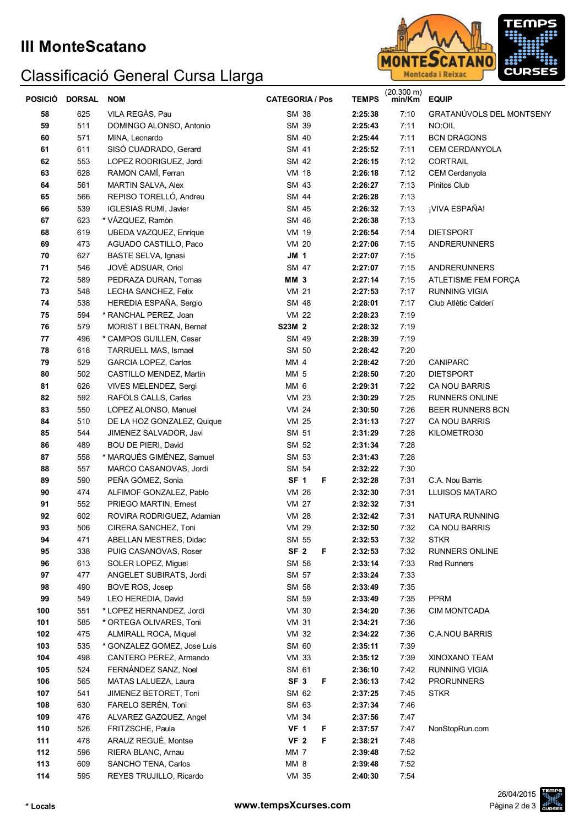## **III MonteScatano**

## Classificació General Cursa Llarga



| <b>POSICIO</b> | <b>DORSAL</b> | <b>NOM</b>                   | <b>CATEGORIA / Pos</b> | <b>TEMPS</b> | $(20.300 \text{ m})$<br>min/Km | <b>EQUIP</b>             |
|----------------|---------------|------------------------------|------------------------|--------------|--------------------------------|--------------------------|
| 58             | 625           | VILA REGÀS, Pau              | SM 38                  | 2:25:38      | 7:10                           | GRATANÚVOLS DEL MONTSENY |
| 59             | 511           | DOMINGO ALONSO, Antonio      | SM 39                  | 2:25:43      | 7:11                           | NO:OIL                   |
| 60             | 571           | MINA, Leonardo               | SM 40                  | 2:25:44      | 7:11                           | <b>BCN DRAGONS</b>       |
| 61             | 611           | SISÓ CUADRADO, Gerard        | SM 41                  | 2:25:52      | 7:11                           | CEM CERDANYOLA           |
| 62             | 553           | LOPEZ RODRIGUEZ, Jordi       | SM 42                  | 2:26:15      | 7:12                           | CORTRAIL                 |
| 63             | 628           | RAMON CAMÍ, Ferran           | <b>VM 18</b>           | 2:26:18      | 7:12                           | CEM Cerdanyola           |
| 64             | 561           | MARTIN SALVA, Alex           | SM 43                  | 2:26:27      | 7:13                           | Pinitos Club             |
| 65             | 566           | REPISO TORELLÓ, Andreu       | SM 44                  | 2:26:28      | 7:13                           |                          |
| 66             | 539           | <b>IGLESIAS RUMI, Javier</b> | SM 45                  | 2:26:32      | 7:13                           | ¡VIVA ESPAÑA!            |
| 67             | 623           | * VÀZQUEZ, Ramòn             | SM 46                  | 2:26:38      | 7:13                           |                          |
| 68             | 619           | UBEDA VAZQUEZ, Enrique       | VM 19                  | 2:26:54      | 7:14                           | <b>DIETSPORT</b>         |
| 69             | 473           | AGUADO CASTILLO, Paco        | <b>VM 20</b>           | 2:27:06      | 7:15                           | <b>ANDRERUNNERS</b>      |
| 70             | 627           | BASTE SELVA, Ignasi          | <b>JM 1</b>            | 2:27:07      | 7:15                           |                          |
| 71             | 546           | JOVÉ ADSUAR, Oriol           | SM 47                  | 2:27:07      | 7:15                           | <b>ANDRERUNNERS</b>      |
| ${\bf 72}$     | 589           | PEDRAZA DURAN, Tomas         | <b>MM 3</b>            | 2:27:14      | 7:15                           | ATLETISME FEM FORÇA      |
| 73             | 548           | LECHA SANCHEZ, Felix         | <b>VM 21</b>           | 2:27:53      | 7:17                           | <b>RUNNING VIGIA</b>     |
| 74             | 538           | HEREDIA ESPAÑA, Sergio       | SM 48                  | 2:28:01      | 7:17                           | Club Atlètic Calderí     |
| 75             | 594           | * RANCHAL PEREZ, Joan        | <b>VM 22</b>           | 2:28:23      | 7:19                           |                          |
| 76             | 579           | MORIST I BELTRAN, Bernat     | S23M 2                 | 2:28:32      | 7:19                           |                          |
| 77             | 496           | * CAMPOS GUILLEN, Cesar      | SM 49                  | 2:28:39      | 7:19                           |                          |
| 78             | 618           | TARRUELL MAS, Ismael         | SM 50                  | 2:28:42      | 7:20                           |                          |
| 79             | 529           | GARCIA LOPEZ, Carlos         | MM 4                   | 2:28:42      | 7:20                           | <b>CANIPARC</b>          |
| 80             | 502           | CASTILLO MENDEZ, Martin      | MM 5                   | 2:28:50      | 7:20                           | <b>DIETSPORT</b>         |
| 81             | 626           | VIVES MELENDEZ, Sergi        | MM <sub>6</sub>        | 2:29:31      | 7:22                           | CA NOU BARRIS            |
| 82             | 592           | RAFOLS CALLS, Carles         | <b>VM 23</b>           | 2:30:29      | 7:25                           | RUNNERS ONLINE           |
| 83             | 550           | LOPEZ ALONSO, Manuel         | <b>VM 24</b>           | 2:30:50      | 7:26                           | BEER RUNNERS BCN         |
| 84             | 510           | DE LA HOZ GONZALEZ, Quique   | <b>VM 25</b>           | 2:31:13      | 7:27                           | CA NOU BARRIS            |
| 85             | 544           | JIMENEZ SALVADOR, Javi       | SM 51                  | 2:31:29      | 7:28                           | KILOMETRO30              |
| 86             | 489           | <b>BOU DE PIERI, David</b>   | SM 52                  | 2:31:34      | 7:28                           |                          |
| 87             | 558           | * MARQUÈS GIMÉNEZ, Samuel    | SM 53                  | 2:31:43      | 7:28                           |                          |
| 88             | 557           | MARCO CASANOVAS, Jordi       | SM 54                  | 2:32:22      | 7:30                           |                          |
| 89             | 590           | PEÑA GÓMEZ, Sonia            | SF <sub>1</sub><br>F   | 2:32:28      | 7:31                           | C.A. Nou Barris          |
| 90             | 474           | ALFIMOF GONZALEZ, Pablo      | <b>VM 26</b>           | 2:32:30      | 7:31                           | <b>LLUISOS MATARO</b>    |
| 91             | 552           | PRIEGO MARTIN, Ernest        | <b>VM 27</b>           | 2:32:32      | 7:31                           |                          |
| 92             | 602           | ROVIRA RODRIGUEZ, Adamian    | <b>VM 28</b>           | 2:32:42      | 7:31                           | NATURA RUNNING           |
| 93             | 506           | CIRERA SANCHEZ, Toni         | <b>VM 29</b>           | 2:32:50      | 7:32                           | CA NOU BARRIS            |
| 94             | 471           | ABELLAN MESTRES, Didac       | SM 55                  | 2:32:53      | 7:32                           | <b>STKR</b>              |
| 95             | 338           | PUIG CASANOVAS, Roser        | SF <sub>2</sub><br>F   | 2:32:53      | 7:32                           | RUNNERS ONLINE           |
| 96             | 613           | SOLER LOPEZ, Miguel          | SM 56                  | 2:33:14      | 7:33                           | <b>Red Runners</b>       |
| 97             | 477           | ANGELET SUBIRATS, Jordi      | SM 57                  | 2:33:24      | 7:33                           |                          |
| 98             | 490           | BOVE ROS, Josep              | SM 58                  | 2:33:49      | 7:35                           |                          |
| 99             | 549           | LEO HEREDIA, David           | SM 59                  | 2:33:49      | 7:35                           | <b>PPRM</b>              |
| 100            | 551           | * LOPEZ HERNANDEZ, Jordi     | <b>VM 30</b>           | 2:34:20      | 7:36                           | <b>CIM MONTCADA</b>      |
| 101            | 585           | * ORTEGA OLIVARES, Toni      | <b>VM 31</b>           | 2:34:21      | 7:36                           |                          |
| 102            | 475           | <b>ALMIRALL ROCA, Miquel</b> | VM 32                  | 2:34:22      | 7:36                           | C.A.NOU BARRIS           |
| 103            | 535           | * GONZALEZ GOMEZ, Jose Luis  | SM 60                  | 2:35:11      | 7:39                           |                          |
| 104            | 498           | CANTERO PEREZ, Armando       | <b>VM 33</b>           | 2:35:12      | 7:39                           | XINOXANO TEAM            |
| 105            | 524           | FERNÁNDEZ SANZ, Noel         | SM 61                  | 2:36:10      | 7:42                           | <b>RUNNING VIGIA</b>     |
| 106            | 565           | MATAS LALUEZA, Laura         | SF <sub>3</sub><br>F   | 2:36:13      | 7:42                           | <b>PRORUNNERS</b>        |
| 107            | 541           | JIMENEZ BETORET, Toni        | SM 62                  | 2:37:25      | 7:45                           | <b>STKR</b>              |
| 108            | 630           | FARELO SERÉN, Toni           | SM 63                  | 2:37:34      | 7:46                           |                          |
| 109            | 476           | ALVAREZ GAZQUEZ, Angel       | VM 34                  | 2:37:56      | 7:47                           |                          |
| 110            | 526           | FRITZSCHE, Paula             | <b>VF 1</b><br>F       | 2:37:57      | 7:47                           | NonStopRun.com           |
| 111            | 478           | ARAUZ REGUÉ, Montse          | <b>VF 2</b><br>F       | 2:38:21      | 7:48                           |                          |
| 112            | 596           | RIERA BLANC, Arnau           | MM <sub>7</sub>        | 2:39:48      | 7:52                           |                          |
| 113            | 609           | SANCHO TENA, Carlos          | MM 8                   | 2:39:48      | 7:52                           |                          |
| 114            | 595           | REYES TRUJILLO, Ricardo      | VM 35                  | 2:40:30      | 7:54                           |                          |